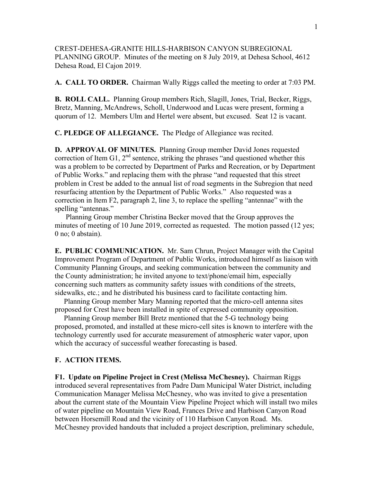CREST-DEHESA-GRANITE HILLS-HARBISON CANYON SUBREGIONAL PLANNING GROUP. Minutes of the meeting on 8 July 2019, at Dehesa School, 4612 Dehesa Road, El Cajon 2019.

**A. CALL TO ORDER.** Chairman Wally Riggs called the meeting to order at 7:03 PM.

**B. ROLL CALL.** Planning Group members Rich, Slagill, Jones, Trial, Becker, Riggs, Bretz, Manning, McAndrews, Scholl, Underwood and Lucas were present, forming a quorum of 12. Members Ulm and Hertel were absent, but excused. Seat 12 is vacant.

**C. PLEDGE OF ALLEGIANCE.** The Pledge of Allegiance was recited.

**D. APPROVAL OF MINUTES.** Planning Group member David Jones requested correction of Item G1,  $2<sup>nd</sup>$  sentence, striking the phrases "and questioned whether this was a problem to be corrected by Department of Parks and Recreation, or by Department of Public Works." and replacing them with the phrase "and requested that this street problem in Crest be added to the annual list of road segments in the Subregion that need resurfacing attention by the Department of Public Works." Also requested was a correction in Item F2, paragraph 2, line 3, to replace the spelling "antennae" with the spelling "antennas."

 Planning Group member Christina Becker moved that the Group approves the minutes of meeting of 10 June 2019, corrected as requested. The motion passed (12 yes; 0 no; 0 abstain).

**E. PUBLIC COMMUNICATION.** Mr. Sam Chrun, Project Manager with the Capital Improvement Program of Department of Public Works, introduced himself as liaison with Community Planning Groups, and seeking communication between the community and the County administration; he invited anyone to text/phone/email him, especially concerning such matters as community safety issues with conditions of the streets, sidewalks, etc.; and he distributed his business card to facilitate contacting him.

 Planning Group member Mary Manning reported that the micro-cell antenna sites proposed for Crest have been installed in spite of expressed community opposition.

 Planning Group member Bill Bretz mentioned that the 5-G technology being proposed, promoted, and installed at these micro-cell sites is known to interfere with the technology currently used for accurate measurement of atmospheric water vapor, upon which the accuracy of successful weather forecasting is based.

## **F. ACTION ITEMS.**

**F1. Update on Pipeline Project in Crest (Melissa McChesney).** Chairman Riggs introduced several representatives from Padre Dam Municipal Water District, including Communication Manager Melissa McChesney, who was invited to give a presentation about the current state of the Mountain View Pipeline Project which will install two miles of water pipeline on Mountain View Road, Frances Drive and Harbison Canyon Road between Horsemill Road and the vicinity of 110 Harbison Canyon Road. Ms. McChesney provided handouts that included a project description, preliminary schedule,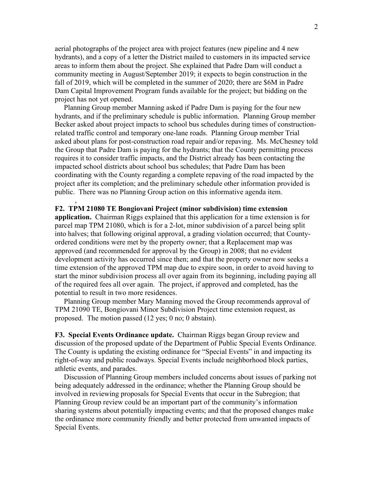aerial photographs of the project area with project features (new pipeline and 4 new hydrants), and a copy of a letter the District mailed to customers in its impacted service areas to inform them about the project. She explained that Padre Dam will conduct a community meeting in August/September 2019; it expects to begin construction in the fall of 2019, which will be completed in the summer of 2020; there are \$6M in Padre Dam Capital Improvement Program funds available for the project; but bidding on the project has not yet opened.

 Planning Group member Manning asked if Padre Dam is paying for the four new hydrants, and if the preliminary schedule is public information. Planning Group member Becker asked about project impacts to school bus schedules during times of constructionrelated traffic control and temporary one-lane roads. Planning Group member Trial asked about plans for post-construction road repair and/or repaving. Ms. McChesney told the Group that Padre Dam is paying for the hydrants; that the County permitting process requires it to consider traffic impacts, and the District already has been contacting the impacted school districts about school bus schedules; that Padre Dam has been coordinating with the County regarding a complete repaving of the road impacted by the project after its completion; and the preliminary schedule other information provided is public. There was no Planning Group action on this informative agenda item.

## **F2. TPM 21080 TE Bongiovani Project (minor subdivision) time extension**

,

**application.** Chairman Riggs explained that this application for a time extension is for parcel map TPM 21080, which is for a 2-lot, minor subdivision of a parcel being split into halves; that following original approval, a grading violation occurred; that Countyordered conditions were met by the property owner; that a Replacement map was approved (and recommended for approval by the Group) in 2008; that no evident development activity has occurred since then; and that the property owner now seeks a time extension of the approved TPM map due to expire soon, in order to avoid having to start the minor subdivision process all over again from its beginning, including paying all of the required fees all over again. The project, if approved and completed, has the potential to result in two more residences.

 Planning Group member Mary Manning moved the Group recommends approval of TPM 21090 TE, Bongiovani Minor Subdivision Project time extension request, as proposed. The motion passed (12 yes; 0 no; 0 abstain).

**F3. Special Events Ordinance update.** Chairman Riggs began Group review and discussion of the proposed update of the Department of Public Special Events Ordinance. The County is updating the existing ordinance for "Special Events" in and impacting its right-of-way and public roadways. Special Events include neighborhood block parties, athletic events, and parades.

 Discussion of Planning Group members included concerns about issues of parking not being adequately addressed in the ordinance; whether the Planning Group should be involved in reviewing proposals for Special Events that occur in the Subregion; that Planning Group review could be an important part of the community's information sharing systems about potentially impacting events; and that the proposed changes make the ordinance more community friendly and better protected from unwanted impacts of Special Events.